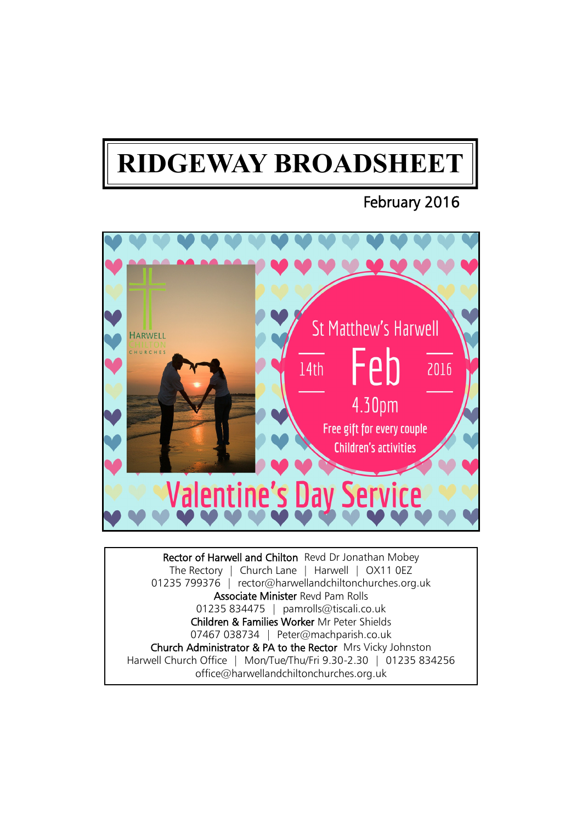# **RIDGEWAY BROADSHEET**

## February 2016



Rector of Harwell and Chilton Revd Dr Jonathan Mobey The Rectory | Church Lane | Harwell | OX11 0EZ 01235 799376 | rector@harwellandchiltonchurches.org.uk Associate Minister Revd Pam Rolls 01235 834475 | pamrolls@tiscali.co.uk Children & Families Worker Mr Peter Shields 07467 038734 | Peter@machparish.co.uk Church Administrator & PA to the Rector Mrs Vicky Johnston Harwell Church Office | Mon/Tue/Thu/Fri 9.30-2.30 | 01235 834256 office@harwellandchiltonchurches.org.uk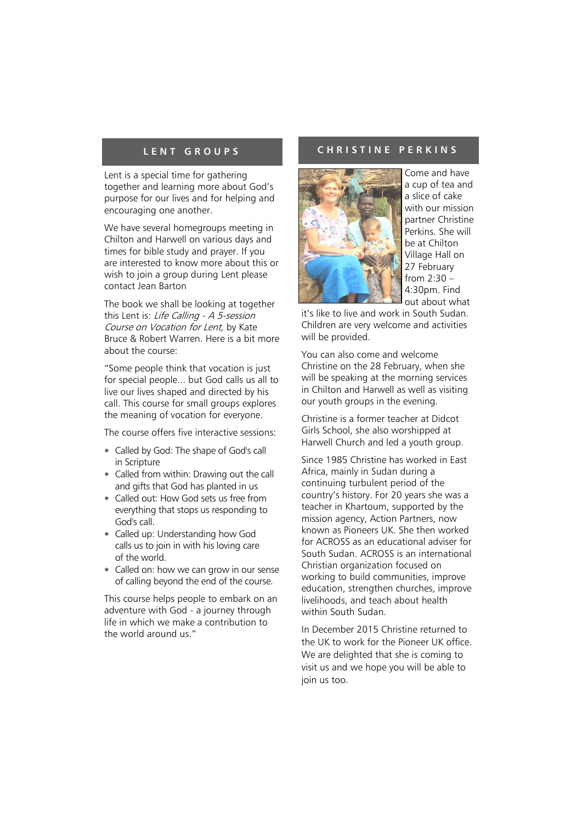Lent is a special time for gathering together and learning more about God's purpose for our lives and for helping and encouraging one another.

We have several homegroups meeting in Chilton and Harwell on various days and times for bible study and prayer. If you are interested to know more about this or wish to join a group during Lent please contact Jean Barton

The book we shall be looking at together this Lent is: Life Calling - A 5-session Course on Vocation for Lent, by Kate Bruce & Robert Warren. Here is a bit more about the course:

"Some people think that vocation is just for special people... but God calls us all to live our lives shaped and directed by his call. This course for small groups explores the meaning of vocation for everyone.

The course offers five interactive sessions:

- Called by God: The shape of God's call in Scripture
- Called from within: Drawing out the call and gifts that God has planted in us
- Called out: How God sets us free from everything that stops us responding to God's call.
- Called up: Understanding how God calls us to join in with his loving care of the world.
- Called on: how we can grow in our sense of calling beyond the end of the course.

This course helps people to embark on an adventure with God - a journey through life in which we make a contribution to the world around us."

#### **L E N T G R O U P S C H R I S T I N E P E R K I N S**



Come and have a cup of tea and a slice of cake with our mission partner Christine Perkins. She will be at Chilton Village Hall on 27 February from 2:30 –  $4.30nm$  Find out about what

it's like to live and work in South Sudan. Children are very welcome and activities will be provided.

You can also come and welcome Christine on the 28 February, when she will be speaking at the morning services in Chilton and Harwell as well as visiting our youth groups in the evening.

Christine is a former teacher at Didcot Girls School, she also worshipped at Harwell Church and led a youth group.

Since 1985 Christine has worked in East Africa, mainly in Sudan during a continuing turbulent period of the country's history. For 20 years she was a teacher in Khartoum, supported by the mission agency, Action Partners, now known as Pioneers UK. She then worked for ACROSS as an educational adviser for South Sudan. ACROSS is an international Christian organization focused on working to build communities, improve education, strengthen churches, improve livelihoods, and teach about health within South Sudan.

In December 2015 Christine returned to the UK to work for the Pioneer UK office. We are delighted that she is coming to visit us and we hope you will be able to join us too.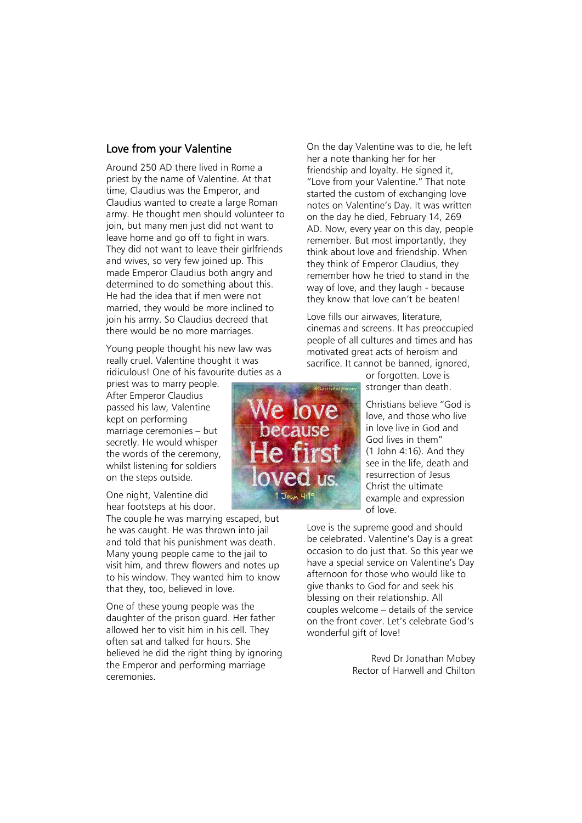### Love from your Valentine

Around 250 AD there lived in Rome a priest by the name of Valentine. At that time, Claudius was the Emperor, and Claudius wanted to create a large Roman army. He thought men should volunteer to join, but many men just did not want to leave home and go off to fight in wars. They did not want to leave their girlfriends and wives, so very few joined up. This made Emperor Claudius both angry and determined to do something about this. He had the idea that if men were not married, they would be more inclined to join his army. So Claudius decreed that there would be no more marriages.

Young people thought his new law was really cruel. Valentine thought it was ridiculous! One of his favourite duties as a

priest was to marry people. After Emperor Claudius passed his law, Valentine kept on performing marriage ceremonies – but secretly. He would whisper the words of the ceremony, whilst listening for soldiers on the steps outside.

One night, Valentine did hear footsteps at his door.

The couple he was marrying escaped, but he was caught. He was thrown into jail and told that his punishment was death. Many young people came to the jail to visit him, and threw flowers and notes up to his window. They wanted him to know that they, too, believed in love.

One of these young people was the daughter of the prison guard. Her father allowed her to visit him in his cell. They often sat and talked for hours. She believed he did the right thing by ignoring the Emperor and performing marriage ceremonies.



On the day Valentine was to die, he left her a note thanking her for her friendship and loyalty. He signed it, "Love from your Valentine." That note started the custom of exchanging love notes on Valentine's Day. It was written on the day he died, February 14, 269 AD. Now, every year on this day, people remember. But most importantly, they think about love and friendship. When they think of Emperor Claudius, they remember how he tried to stand in the way of love, and they laugh - because they know that love can't be beaten!

Love fills our airwaves, literature, cinemas and screens. It has preoccupied people of all cultures and times and has motivated great acts of heroism and sacrifice. It cannot be banned, ignored,

or forgotten. Love is stronger than death.

Christians believe "God is love, and those who live in love live in God and God lives in them" (1 John 4:16). And they see in the life, death and resurrection of Jesus Christ the ultimate example and expression of love.

Love is the supreme good and should be celebrated. Valentine's Day is a great occasion to do just that. So this year we have a special service on Valentine's Day afternoon for those who would like to give thanks to God for and seek his blessing on their relationship. All couples welcome – details of the service on the front cover. Let's celebrate God's wonderful gift of love!

> Revd Dr Jonathan Mobey Rector of Harwell and Chilton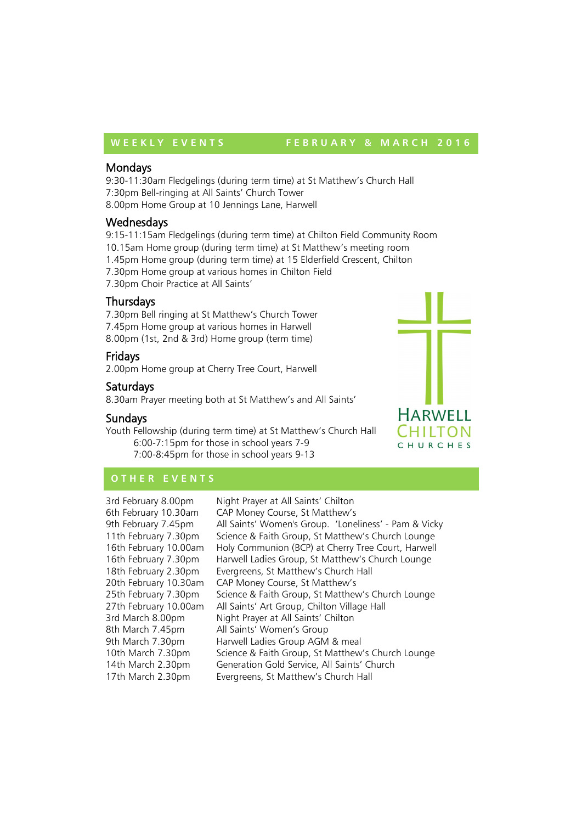#### WEEKLY EVENTS FEBRUARY & MARCH 2016

#### **Mondays**

9:30-11:30am Fledgelings (during term time) at St Matthew's Church Hall 7:30pm Bell-ringing at All Saints' Church Tower 8.00pm Home Group at 10 Jennings Lane, Harwell

#### **Wednesdays**

9:15-11:15am Fledgelings (during term time) at Chilton Field Community Room 10.15am Home group (during term time) at St Matthew's meeting room 1.45pm Home group (during term time) at 15 Elderfield Crescent, Chilton 7.30pm Home group at various homes in Chilton Field 7.30pm Choir Practice at All Saints'

#### **Thursdays**

7.30pm Bell ringing at St Matthew's Church Tower 7.45pm Home group at various homes in Harwell 8.00pm (1st, 2nd & 3rd) Home group (term time)

#### Fridays

2.00pm Home group at Cherry Tree Court, Harwell

#### Saturdays

8.30am Prayer meeting both at St Matthew's and All Saints'

#### Sundays

Youth Fellowship (during term time) at St Matthew's Church Hall 6:00-7:15pm for those in school years 7-9 7:00-8:45pm for those in school years 9-13



## **O T H E R E V E N T S**

3rd February 8.00pm Night Prayer at All Saints' Chilton 6th February 10.30am CAP Money Course, St Matthew's 9th February 7.45pm All Saints' Women's Group. 'Loneliness' - Pam & Vicky 11th February 7.30pm Science & Faith Group, St Matthew's Church Lounge 16th February 10.00am Holy Communion (BCP) at Cherry Tree Court, Harwell 16th February 7.30pm Harwell Ladies Group, St Matthew's Church Lounge 18th February 2.30pm Evergreens, St Matthew's Church Hall 20th February 10.30am CAP Money Course, St Matthew's 25th February 7.30pm Science & Faith Group, St Matthew's Church Lounge 27th February 10.00am All Saints' Art Group, Chilton Village Hall 3rd March 8.00pm Night Prayer at All Saints' Chilton 8th March 7.45pm All Saints' Women's Group 9th March 7.30pm Harwell Ladies Group AGM & meal 10th March 7.30pm Science & Faith Group, St Matthew's Church Lounge 14th March 2.30pm Generation Gold Service, All Saints' Church 17th March 2.30pm Evergreens, St Matthew's Church Hall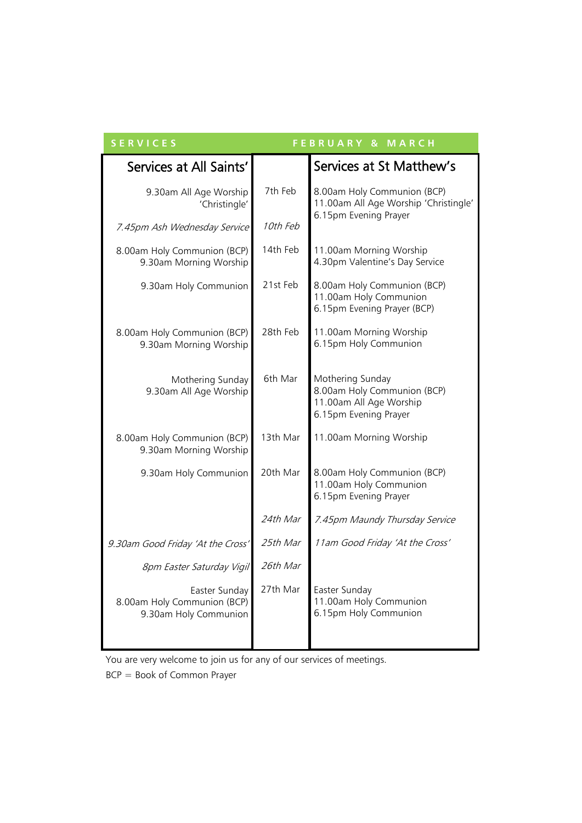| <b>SERVICES</b><br><b>FEBRUARY &amp; MARCH</b>                        |          |                                                                                                     |
|-----------------------------------------------------------------------|----------|-----------------------------------------------------------------------------------------------------|
| Services at All Saints'                                               |          | Services at St Matthew's                                                                            |
| 9.30am All Age Worship<br>'Christingle'                               | 7th Feb  | 8.00am Holy Communion (BCP)<br>11.00am All Age Worship 'Christingle'<br>6.15pm Evening Prayer       |
| 7.45pm Ash Wednesday Service                                          | 10th Feb |                                                                                                     |
| 8.00am Holy Communion (BCP)<br>9.30am Morning Worship                 | 14th Feb | 11.00am Morning Worship<br>4.30pm Valentine's Day Service                                           |
| 9.30am Holy Communion                                                 | 21st Feb | 8.00am Holy Communion (BCP)<br>11.00am Holy Communion<br>6.15pm Evening Prayer (BCP)                |
| 8.00am Holy Communion (BCP)<br>9.30am Morning Worship                 | 28th Feb | 11.00am Morning Worship<br>6.15pm Holy Communion                                                    |
| Mothering Sunday<br>9.30am All Age Worship                            | 6th Mar  | Mothering Sunday<br>8.00am Holy Communion (BCP)<br>11.00am All Age Worship<br>6.15pm Evening Prayer |
| 8.00am Holy Communion (BCP)<br>9.30am Morning Worship                 | 13th Mar | 11.00am Morning Worship                                                                             |
| 9.30am Holy Communion                                                 | 20th Mar | 8.00am Holy Communion (BCP)<br>11.00am Holy Communion<br>6.15pm Evening Prayer                      |
|                                                                       | 24th Mar | 7.45pm Maundy Thursday Service                                                                      |
| 9.30am Good Friday 'At the Cross'                                     | 25th Mar | 11am Good Friday 'At the Cross'                                                                     |
| <b>8pm Easter Saturday Vigil</b>                                      | 26th Mar |                                                                                                     |
| Easter Sunday<br>8.00am Holy Communion (BCP)<br>9.30am Holy Communion | 27th Mar | Easter Sunday<br>11.00am Holy Communion<br>6.15pm Holy Communion                                    |

You are very welcome to join us for any of our services of meetings.

BCP = Book of Common Prayer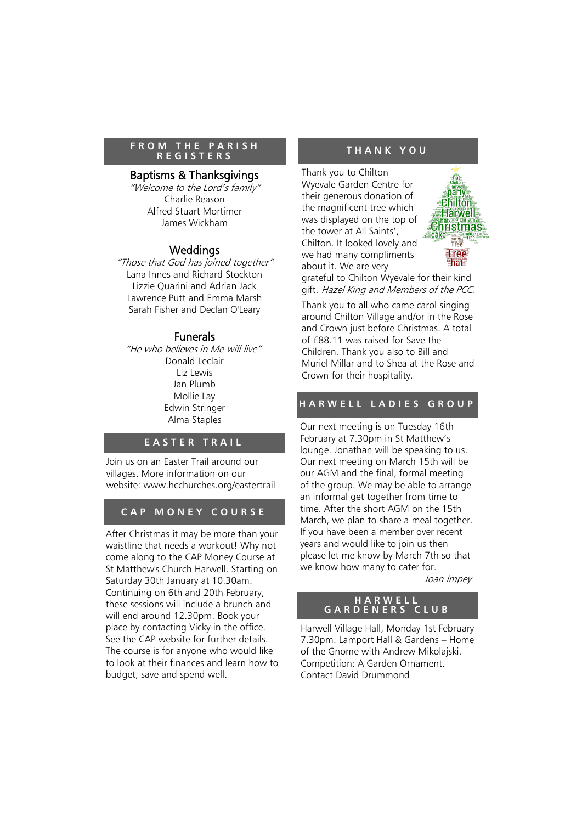#### **F R O M T H E P A R I S H R E G I S T E R S**

#### Baptisms & Thanksgivings

"Welcome to the Lord's family" Charlie Reason Alfred Stuart Mortimer James Wickham

#### Weddings

"Those that God has joined together" Lana Innes and Richard Stockton Lizzie Quarini and Adrian Jack Lawrence Putt and Emma Marsh Sarah Fisher and Declan O'Leary

#### Funerals

"He who believes in Me will live" Donald Leclair Liz Lewis Jan Plumb Mollie Lay Edwin Stringer Alma Staples

#### **E A S T E R T R A I L**

Join us on an Easter Trail around our villages. More information on our website: www.hcchurches.org/eastertrail

#### **C A P M O N E Y C O U R S E**

After Christmas it may be more than your waistline that needs a workout! Why not come along to the CAP Money Course at St Matthew's Church Harwell. Starting on Saturday 30th January at 10.30am. Continuing on 6th and 20th February, these sessions will include a brunch and will end around 12.30pm. Book your place by contacting Vicky in the office. See the CAP website for further details. The course is for anyone who would like to look at their finances and learn how to budget, save and spend well.

#### **T H A N K Y O U**

Thank you to Chilton Wyevale Garden Centre for their generous donation of the magnificent tree which was displayed on the top of the tower at All Saints', Chilton. It looked lovely and we had many compliments about it. We are very



grateful to Chilton Wyevale for their kind gift. Hazel King and Members of the PCC.

Thank you to all who came carol singing around Chilton Village and/or in the Rose and Crown just before Christmas. A total of £88.11 was raised for Save the Children. Thank you also to Bill and Muriel Millar and to Shea at the Rose and Crown for their hospitality.

#### **H A R W E L L L A D I E S G R O U P**

Our next meeting is on Tuesday 16th February at 7.30pm in St Matthew's lounge. Jonathan will be speaking to us. Our next meeting on March 15th will be our AGM and the final, formal meeting of the group. We may be able to arrange an informal get together from time to time. After the short AGM on the 15th March, we plan to share a meal together. If you have been a member over recent years and would like to join us then please let me know by March 7th so that we know how many to cater for.

Joan Impey

#### **H A R W E L L G A R D E N E R S C L U B**

Harwell Village Hall, Monday 1st February 7.30pm. Lamport Hall & Gardens – Home of the Gnome with Andrew Mikolajski. Competition: A Garden Ornament. Contact David Drummond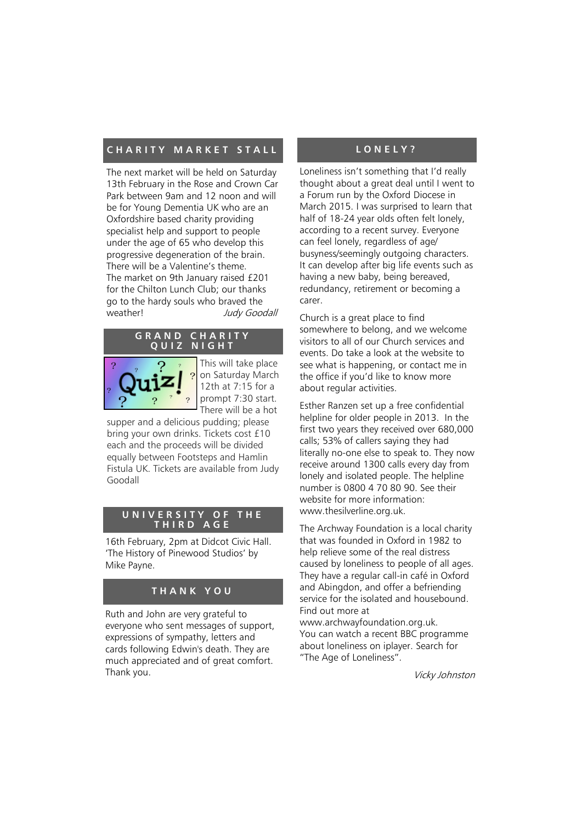#### **CHARITY MARKET STALL**

The next market will be held on Saturday 13th February in the Rose and Crown Car Park between 9am and 12 noon and will be for Young Dementia UK who are an Oxfordshire based charity providing specialist help and support to people under the age of 65 who develop this progressive degeneration of the brain. There will be a Valentine's theme. The market on 9th January raised £201 for the Chilton Lunch Club; our thanks go to the hardy souls who braved the weather! Judy Goodall



This will take place on Saturday March 12th at 7:15 for a prompt 7:30 start. There will be a hot

supper and a delicious pudding; please bring your own drinks. Tickets cost £10 each and the proceeds will be divided equally between Footsteps and Hamlin Fistula UK. Tickets are available from Judy Goodall

#### **U N I V E R S I T Y O F T H E T H I R D A G E**

16th February, 2pm at Didcot Civic Hall. 'The History of Pinewood Studios' by Mike Payne.

#### **T H A N K Y O U**

Ruth and John are very grateful to everyone who sent messages of support, expressions of sympathy, letters and cards following Edwin's death. They are much appreciated and of great comfort. Thank you.

#### **L O N E L Y ?**

Loneliness isn't something that I'd really thought about a great deal until I went to a Forum run by the Oxford Diocese in March 2015. I was surprised to learn that half of 18-24 year olds often felt lonely, according to a recent survey. Everyone can feel lonely, regardless of age/ busyness/seemingly outgoing characters. It can develop after big life events such as having a new baby, being bereaved, redundancy, retirement or becoming a carer.

Church is a great place to find somewhere to belong, and we welcome visitors to all of our Church services and events. Do take a look at the website to see what is happening, or contact me in the office if you'd like to know more about regular activities.

Esther Ranzen set up a free confidential helpline for older people in 2013. In the first two years they received over 680,000 calls; 53% of callers saying they had literally no-one else to speak to. They now receive around 1300 calls every day from lonely and isolated people. The helpline number is 0800 4 70 80 90. See their website for more information: www[.thesilverline.org.uk.](http://www.thesilverline.org.uk)

The Archway Foundation is a local charity that was founded in Oxford in 1982 to help relieve some of the real distress caused by loneliness to people of all ages. They have a regular call-in café in Oxford and Abingdon, and offer a befriending service for the isolated and housebound. Find out more at

www.archwayfoundation.org.uk. You can watch a recent BBC programme about loneliness on iplayer. Search for "The Age of Loneliness".

Vicky Johnston